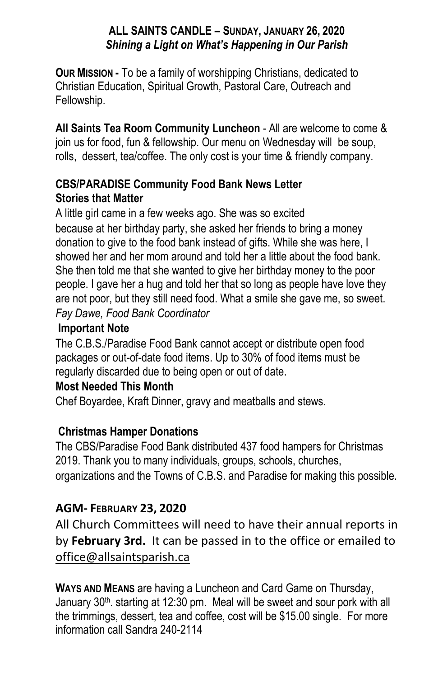#### **ALL SAINTS CANDLE – SUNDAY, JANUARY 26, 2020** *Shining a Light on What's Happening in Our Parish*

**OUR MISSION -** To be a family of worshipping Christians, dedicated to Christian Education, Spiritual Growth, Pastoral Care, Outreach and Fellowship.

**All Saints Tea Room Community Luncheon** - All are welcome to come & join us for food, fun & fellowship. Our menu on Wednesday will be soup, rolls, dessert, tea/coffee. The only cost is your time & friendly company.

### **CBS/PARADISE Community Food Bank News Letter Stories that Matter**

A little girl came in a few weeks ago. She was so excited because at her birthday party, she asked her friends to bring a money donation to give to the food bank instead of gifts. While she was here, I showed her and her mom around and told her a little about the food bank. She then told me that she wanted to give her birthday money to the poor people. I gave her a hug and told her that so long as people have love they are not poor, but they still need food. What a smile she gave me, so sweet. *Fay Dawe, Food Bank Coordinator*

#### **Important Note**

The C.B.S./Paradise Food Bank cannot accept or distribute open food packages or out-of-date food items. Up to 30% of food items must be regularly discarded due to being open or out of date.

### **Most Needed This Month**

Chef Boyardee, Kraft Dinner, gravy and meatballs and stews.

### **Christmas Hamper Donations**

The CBS/Paradise Food Bank distributed 437 food hampers for Christmas 2019. Thank you to many individuals, groups, schools, churches, organizations and the Towns of C.B.S. and Paradise for making this possible.

### **AGM- FEBRUARY 23, 2020**

All Church Committees will need to have their annual reports in by **February 3rd.** It can be passed in to the office or emailed to office@allsaintsparish.ca

**WAYS AND MEANS** are having a Luncheon and Card Game on Thursday, January 30<sup>th</sup>. starting at 12:30 pm. Meal will be sweet and sour pork with all the trimmings, dessert, tea and coffee, cost will be \$15.00 single. For more information call Sandra 240-2114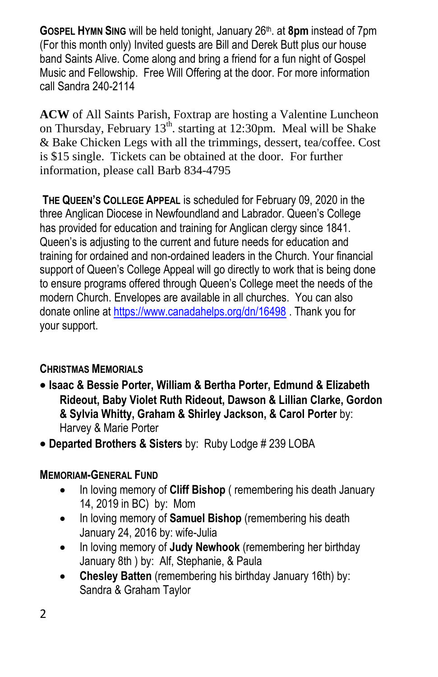**GOSPEL HYMN SING** will be held tonight, January 26th. at **8pm** instead of 7pm (For this month only) Invited guests are Bill and Derek Butt plus our house band Saints Alive. Come along and bring a friend for a fun night of Gospel Music and Fellowship. Free Will Offering at the door. For more information call Sandra 240-2114

**ACW** of All Saints Parish, Foxtrap are hosting a Valentine Luncheon on Thursday, February  $13<sup>th</sup>$ . starting at 12:30pm. Meal will be Shake & Bake Chicken Legs with all the trimmings, dessert, tea/coffee. Cost is \$15 single. Tickets can be obtained at the door. For further information, please call Barb 834-4795

**THE QUEEN'S COLLEGE APPEAL** is scheduled for February 09, 2020 in the three Anglican Diocese in Newfoundland and Labrador. Queen's College has provided for education and training for Anglican clergy since 1841. Queen's is adjusting to the current and future needs for education and training for ordained and non-ordained leaders in the Church. Your financial support of Queen's College Appeal will go directly to work that is being done to ensure programs offered through Queen's College meet the needs of the modern Church. Envelopes are available in all churches. You can also donate online a[t https://www.canadahelps.org/dn/16498](https://www.canadahelps.org/dn/16498) . Thank you for your support.

## **CHRISTMAS MEMORIALS**

- **Isaac & Bessie Porter, William & Bertha Porter, Edmund & Elizabeth Rideout, Baby Violet Ruth Rideout, Dawson & Lillian Clarke, Gordon & Sylvia Whitty, Graham & Shirley Jackson, & Carol Porter** by: Harvey & Marie Porter
- **Departed Brothers & Sisters** by: Ruby Lodge # 239 LOBA

## **MEMORIAM-GENERAL FUND**

- In loving memory of **Cliff Bishop** ( remembering his death January 14, 2019 in BC) by: Mom
- In loving memory of **Samuel Bishop** (remembering his death January 24, 2016 by: wife-Julia
- In loving memory of **Judy Newhook** (remembering her birthday January 8th ) by: Alf, Stephanie, & Paula
- **Chesley Batten** (remembering his birthday January 16th) by: Sandra & Graham Taylor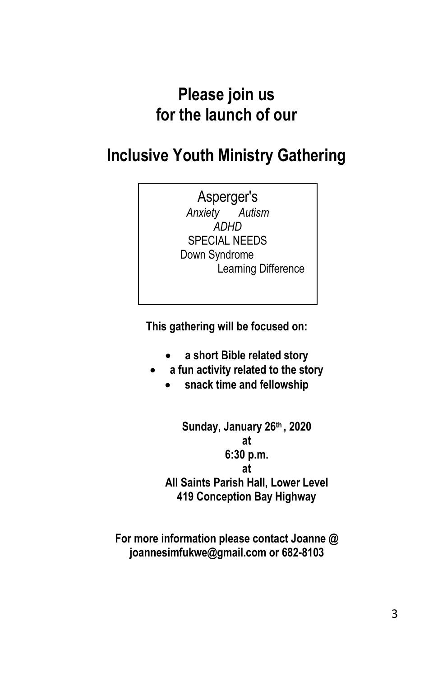# **Please join us for the launch of our**

# **Inclusive Youth Ministry Gathering**

## Asperger's

*Anxiety Autism ADHD* SPECIAL NEEDS Down Syndrome Learning Difference

**This gathering will be focused on:**

- **a short Bible related story**
- **a fun activity related to the story**
	- **snack time and fellowship**

**Sunday, January 26th , 2020 at 6:30 p.m. at All Saints Parish Hall, Lower Level 419 Conception Bay Highway**

**For more information please contact Joanne @ joannesimfukwe@gmail.com or 682-8103**